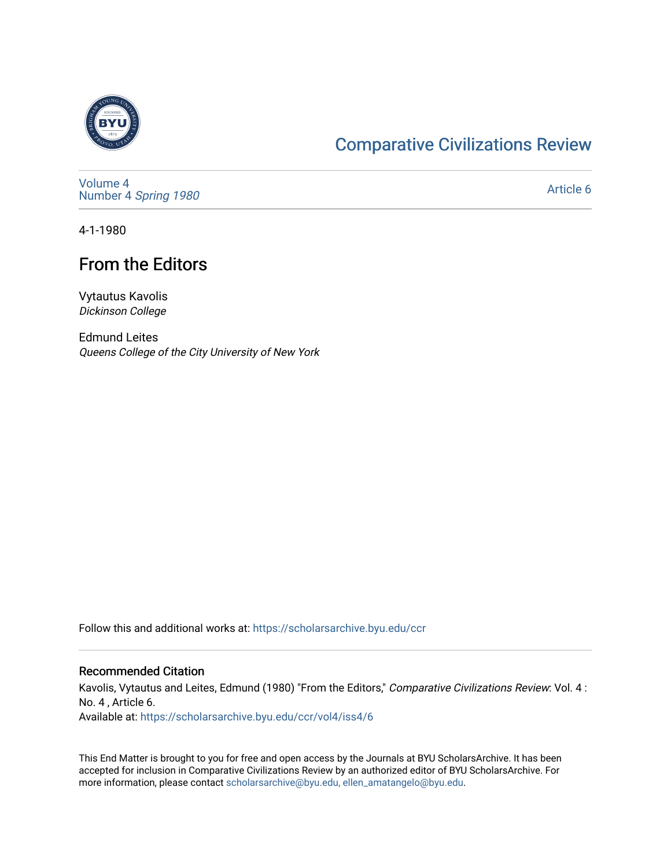

## [Comparative Civilizations Review](https://scholarsarchive.byu.edu/ccr)

[Volume 4](https://scholarsarchive.byu.edu/ccr/vol4) Number 4 [Spring 1980](https://scholarsarchive.byu.edu/ccr/vol4/iss4) 

[Article 6](https://scholarsarchive.byu.edu/ccr/vol4/iss4/6) 

4-1-1980

## From the Editors

Vytautus Kavolis Dickinson College

Edmund Leites Queens College of the City University of New York

Follow this and additional works at: [https://scholarsarchive.byu.edu/ccr](https://scholarsarchive.byu.edu/ccr?utm_source=scholarsarchive.byu.edu%2Fccr%2Fvol4%2Fiss4%2F6&utm_medium=PDF&utm_campaign=PDFCoverPages) 

## Recommended Citation

Kavolis, Vytautus and Leites, Edmund (1980) "From the Editors," Comparative Civilizations Review: Vol. 4 : No. 4 , Article 6. Available at: [https://scholarsarchive.byu.edu/ccr/vol4/iss4/6](https://scholarsarchive.byu.edu/ccr/vol4/iss4/6?utm_source=scholarsarchive.byu.edu%2Fccr%2Fvol4%2Fiss4%2F6&utm_medium=PDF&utm_campaign=PDFCoverPages) 

This End Matter is brought to you for free and open access by the Journals at BYU ScholarsArchive. It has been accepted for inclusion in Comparative Civilizations Review by an authorized editor of BYU ScholarsArchive. For more information, please contact [scholarsarchive@byu.edu, ellen\\_amatangelo@byu.edu.](mailto:scholarsarchive@byu.edu,%20ellen_amatangelo@byu.edu)